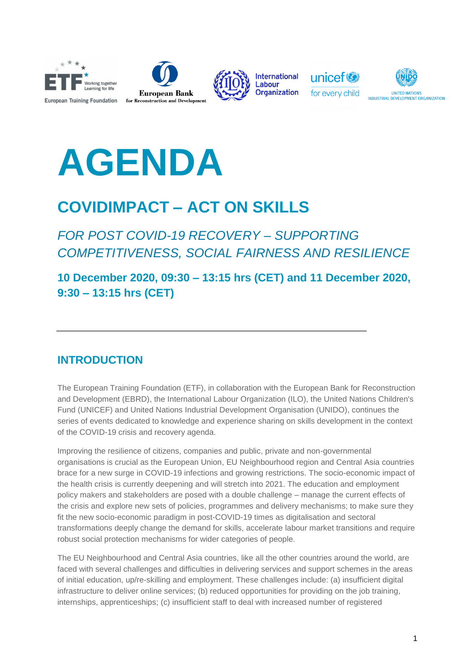









# **AGENDA**

### **COVIDIMPACT – ACT ON SKILLS**

*FOR POST COVID-19 RECOVERY – SUPPORTING COMPETITIVENESS, SOCIAL FAIRNESS AND RESILIENCE*

**10 December 2020, 09:30 – 13:15 hrs (CET) and 11 December 2020, 9:30 – 13:15 hrs (CET)**

#### **INTRODUCTION**

The European Training Foundation (ETF), in collaboration with the European Bank for Reconstruction and Development (EBRD), the International Labour Organization (ILO), the United Nations Children's Fund (UNICEF) and United Nations Industrial Development Organisation (UNIDO), continues the series of events dedicated to knowledge and experience sharing on skills development in the context of the COVID-19 crisis and recovery agenda.

Improving the resilience of citizens, companies and public, private and non-governmental organisations is crucial as the European Union, EU Neighbourhood region and Central Asia countries brace for a new surge in COVID-19 infections and growing restrictions. The socio-economic impact of the health crisis is currently deepening and will stretch into 2021. The education and employment policy makers and stakeholders are posed with a double challenge – manage the current effects of the crisis and explore new sets of policies, programmes and delivery mechanisms; to make sure they fit the new socio-economic paradigm in post-COVID-19 times as digitalisation and sectoral transformations deeply change the demand for skills, accelerate labour market transitions and require robust social protection mechanisms for wider categories of people.

The EU Neighbourhood and Central Asia countries, like all the other countries around the world, are faced with several challenges and difficulties in delivering services and support schemes in the areas of initial education, up/re-skilling and employment. These challenges include: (a) insufficient digital infrastructure to deliver online services; (b) reduced opportunities for providing on the job training, internships, apprenticeships; (c) insufficient staff to deal with increased number of registered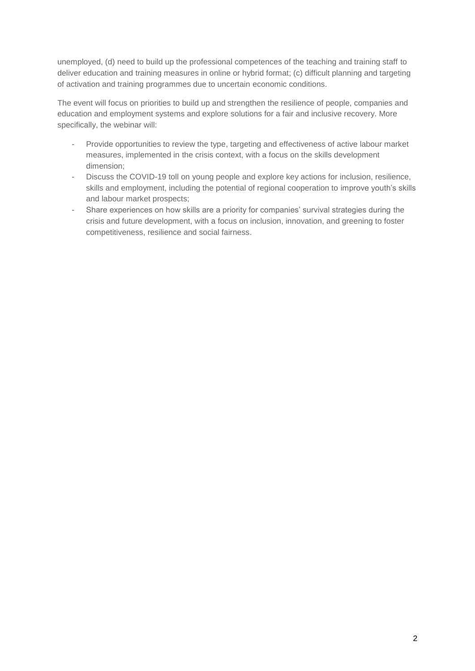unemployed, (d) need to build up the professional competences of the teaching and training staff to deliver education and training measures in online or hybrid format; (c) difficult planning and targeting of activation and training programmes due to uncertain economic conditions.

The event will focus on priorities to build up and strengthen the resilience of people, companies and education and employment systems and explore solutions for a fair and inclusive recovery. More specifically, the webinar will:

- Provide opportunities to review the type, targeting and effectiveness of active labour market measures, implemented in the crisis context, with a focus on the skills development dimension;
- Discuss the COVID-19 toll on young people and explore key actions for inclusion, resilience, skills and employment, including the potential of regional cooperation to improve youth's skills and labour market prospects;
- Share experiences on how skills are a priority for companies' survival strategies during the crisis and future development, with a focus on inclusion, innovation, and greening to foster competitiveness, resilience and social fairness.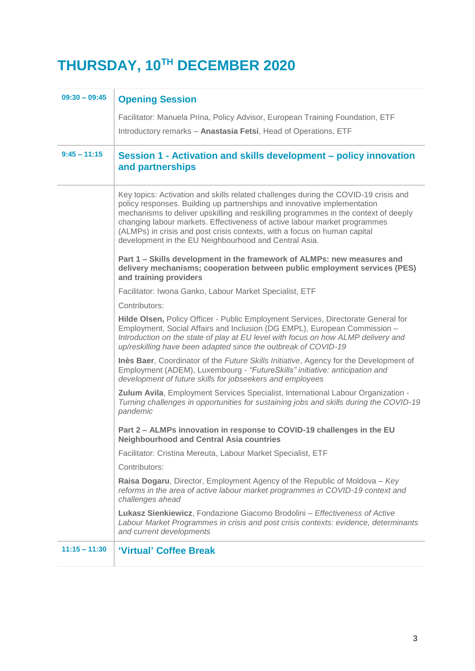## **THURSDAY, 10TH DECEMBER 2020**

| $09:30 - 09:45$ | <b>Opening Session</b>                                                                                                                                                                                                                                                                                                                                                                                                                                                    |
|-----------------|---------------------------------------------------------------------------------------------------------------------------------------------------------------------------------------------------------------------------------------------------------------------------------------------------------------------------------------------------------------------------------------------------------------------------------------------------------------------------|
|                 | Facilitator: Manuela Prina, Policy Advisor, European Training Foundation, ETF                                                                                                                                                                                                                                                                                                                                                                                             |
|                 | Introductory remarks - Anastasia Fetsi, Head of Operations, ETF                                                                                                                                                                                                                                                                                                                                                                                                           |
| $9:45 - 11:15$  | Session 1 - Activation and skills development – policy innovation<br>and partnerships                                                                                                                                                                                                                                                                                                                                                                                     |
|                 | Key topics: Activation and skills related challenges during the COVID-19 crisis and<br>policy responses. Building up partnerships and innovative implementation<br>mechanisms to deliver upskilling and reskilling programmes in the context of deeply<br>changing labour markets. Effectiveness of active labour market programmes<br>(ALMPs) in crisis and post crisis contexts, with a focus on human capital<br>development in the EU Neighbourhood and Central Asia. |
|                 | Part 1 - Skills development in the framework of ALMPs: new measures and<br>delivery mechanisms; cooperation between public employment services (PES)<br>and training providers                                                                                                                                                                                                                                                                                            |
|                 | Facilitator: Iwona Ganko, Labour Market Specialist, ETF                                                                                                                                                                                                                                                                                                                                                                                                                   |
|                 | Contributors:                                                                                                                                                                                                                                                                                                                                                                                                                                                             |
|                 | Hilde Olsen, Policy Officer - Public Employment Services, Directorate General for<br>Employment, Social Affairs and Inclusion (DG EMPL), European Commission -<br>Introduction on the state of play at EU level with focus on how ALMP delivery and<br>up/reskilling have been adapted since the outbreak of COVID-19                                                                                                                                                     |
|                 | Inès Baer, Coordinator of the Future Skills Initiative, Agency for the Development of<br>Employment (ADEM), Luxembourg - "FutureSkills" initiative: anticipation and<br>development of future skills for jobseekers and employees                                                                                                                                                                                                                                         |
|                 | Zulum Avila, Employment Services Specialist, International Labour Organization -<br>Turning challenges in opportunities for sustaining jobs and skills during the COVID-19<br>pandemic                                                                                                                                                                                                                                                                                    |
|                 | Part 2 - ALMPs innovation in response to COVID-19 challenges in the EU<br><b>Neighbourhood and Central Asia countries</b>                                                                                                                                                                                                                                                                                                                                                 |
|                 | Facilitator: Cristina Mereuta, Labour Market Specialist, ETF                                                                                                                                                                                                                                                                                                                                                                                                              |
|                 | Contributors:                                                                                                                                                                                                                                                                                                                                                                                                                                                             |
|                 | Raisa Dogaru, Director, Employment Agency of the Republic of Moldova - Key<br>reforms in the area of active labour market programmes in COVID-19 context and<br>challenges ahead                                                                                                                                                                                                                                                                                          |
|                 | Lukasz Sienkiewicz, Fondazione Giacomo Brodolini - Effectiveness of Active<br>Labour Market Programmes in crisis and post crisis contexts: evidence, determinants<br>and current developments                                                                                                                                                                                                                                                                             |
| $11:15 - 11:30$ | 'Virtual' Coffee Break                                                                                                                                                                                                                                                                                                                                                                                                                                                    |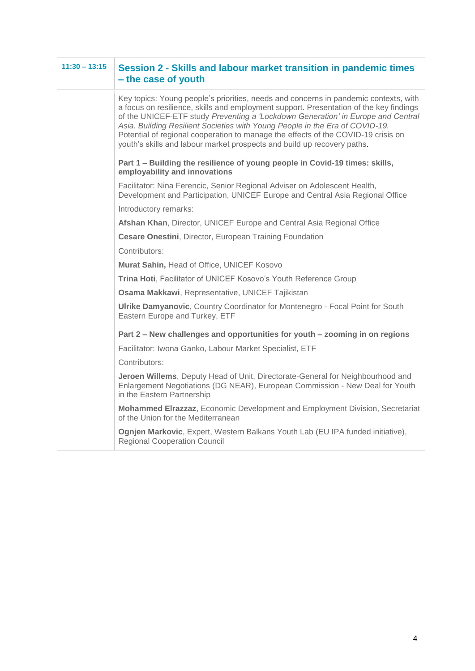| $11:30 - 13:15$ | Session 2 - Skills and labour market transition in pandemic times<br>- the case of youth                                                                                                                                                                                                                                                                                                                                                                                                                           |
|-----------------|--------------------------------------------------------------------------------------------------------------------------------------------------------------------------------------------------------------------------------------------------------------------------------------------------------------------------------------------------------------------------------------------------------------------------------------------------------------------------------------------------------------------|
|                 | Key topics: Young people's priorities, needs and concerns in pandemic contexts, with<br>a focus on resilience, skills and employment support. Presentation of the key findings<br>of the UNICEF-ETF study Preventing a 'Lockdown Generation' in Europe and Central<br>Asia. Building Resilient Societies with Young People in the Era of COVID-19.<br>Potential of regional cooperation to manage the effects of the COVID-19 crisis on<br>youth's skills and labour market prospects and build up recovery paths. |
|                 | Part 1 - Building the resilience of young people in Covid-19 times: skills,<br>employability and innovations                                                                                                                                                                                                                                                                                                                                                                                                       |
|                 | Facilitator: Nina Ferencic, Senior Regional Adviser on Adolescent Health,<br>Development and Participation, UNICEF Europe and Central Asia Regional Office                                                                                                                                                                                                                                                                                                                                                         |
|                 | Introductory remarks:                                                                                                                                                                                                                                                                                                                                                                                                                                                                                              |
|                 | Afshan Khan, Director, UNICEF Europe and Central Asia Regional Office                                                                                                                                                                                                                                                                                                                                                                                                                                              |
|                 | <b>Cesare Onestini, Director, European Training Foundation</b>                                                                                                                                                                                                                                                                                                                                                                                                                                                     |
|                 | Contributors:                                                                                                                                                                                                                                                                                                                                                                                                                                                                                                      |
|                 | Murat Sahin, Head of Office, UNICEF Kosovo                                                                                                                                                                                                                                                                                                                                                                                                                                                                         |
|                 | Trina Hoti, Facilitator of UNICEF Kosovo's Youth Reference Group                                                                                                                                                                                                                                                                                                                                                                                                                                                   |
|                 | Osama Makkawi, Representative, UNICEF Tajikistan                                                                                                                                                                                                                                                                                                                                                                                                                                                                   |
|                 | Ulrike Damyanovic, Country Coordinator for Montenegro - Focal Point for South<br>Eastern Europe and Turkey, ETF                                                                                                                                                                                                                                                                                                                                                                                                    |
|                 | Part 2 – New challenges and opportunities for youth – zooming in on regions                                                                                                                                                                                                                                                                                                                                                                                                                                        |
|                 | Facilitator: Iwona Ganko, Labour Market Specialist, ETF                                                                                                                                                                                                                                                                                                                                                                                                                                                            |
|                 | Contributors:                                                                                                                                                                                                                                                                                                                                                                                                                                                                                                      |
|                 | Jeroen Willems, Deputy Head of Unit, Directorate-General for Neighbourhood and<br>Enlargement Negotiations (DG NEAR), European Commission - New Deal for Youth<br>in the Eastern Partnership                                                                                                                                                                                                                                                                                                                       |
|                 | Mohammed Elrazzaz, Economic Development and Employment Division, Secretariat<br>of the Union for the Mediterranean                                                                                                                                                                                                                                                                                                                                                                                                 |
|                 | Ognjen Markovic, Expert, Western Balkans Youth Lab (EU IPA funded initiative),<br><b>Regional Cooperation Council</b>                                                                                                                                                                                                                                                                                                                                                                                              |